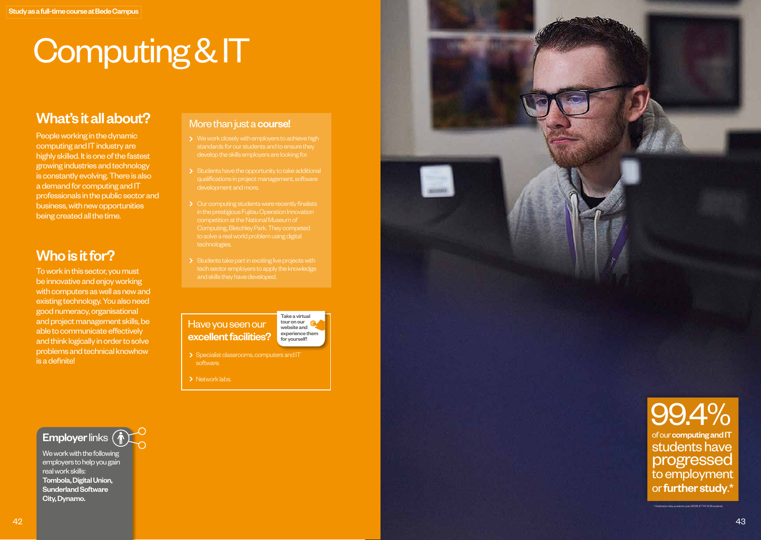# Computing & IT

### What's it all about?

People working in the dynamic computing and IT industry are highly skilled. It is one of the fastest growing industries and technology is constantly evolving. There is also a demand for computing and IT professionals in the public sector and business, with new opportunities being created all the time.

## Who is it for?

To work in this sector, you must be innovative and enjoy working with computers as well as new and existing technology. You also need good numeracy, organisational and project management skills, be able to communicate effectively and think logically in order to solve problems and technical knowhow is a definite!

#### More than just a **course!**

- 
- 
- Our computing students were recently finalists Computing, Bletchley Park. They competed
- 

Have you seen our excellent facilities?



- > Specialist classrooms, computers and IT
- > Network labs.



We work with the following employers to help you gain real work skills: Tombola, Digital Union, Sunderland Software City, Dynamo.